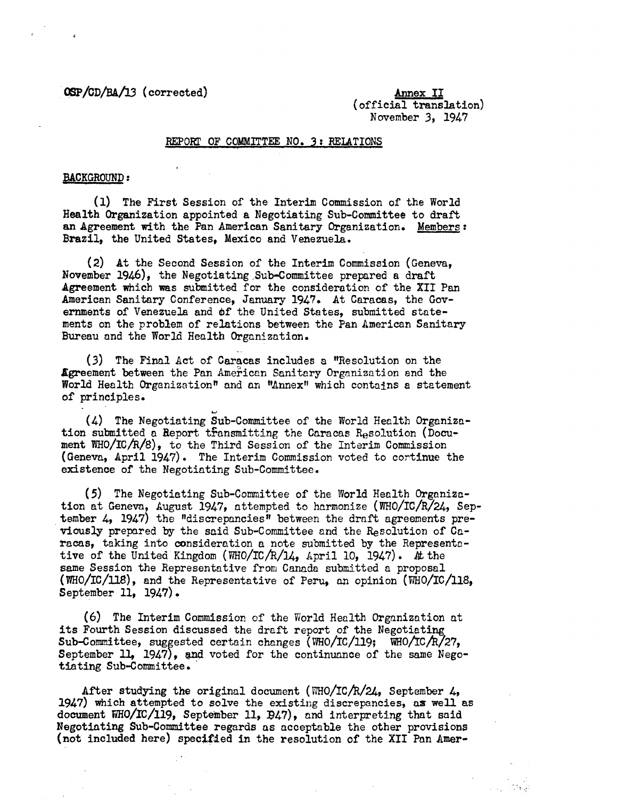OSP/CD/BA/3 (corrected) Annex II

(official translation) November 3, 1947

## REPORT OF COMMITTEE NO. 3: RELATIONS

### BACKGROUND:

(1) The First Session of the Interim Commission of the World Health Organization appointed a Negotiating Sub-Committee to draft an Agreement with the Pan American Sanitary Organization. Members: Brazil, the United States, Mexico and Venezuela.

(2) At the Second Session of the Interim Commission (Geneva, November 1946), the Negotiating Sub-Committee prepared a draft Agreement which was submitted for the consideration of the XII Pan American Sanitary Conference, January 1947. At Caracas, the Governments of Venezuela and df the United States, submitted statements on the problem of relations between the Pan American Sanitary Bureau and the World Health Organization.

(3) The Final Act of Caracas includes a "Resolution on the Agreement between the Pan American Sanitary Organization and the World Health Organization" and an "Annex" which contains a statement of principles.

(4) The Negotiating Sub-Committee of the World Health Organization submitted a Report transmitting the Caracas Resolution (Document WHO/IC/R/8), to the Third Session of the Interim Commission (Geneva, April 1947). The Interim Commission voted to cortinue the existence of the Negotiating Sub-Committee.

(5) The Negotiating Sub-Committee of the World Health Organization at Geneva, August 1947, attempted to harmonize (WHO/IC/R/24, September 4, 1947) the "discrepancies" between the draft agreements previously prepared by the said Sub-Committee and the Resolution of Caracas, taking into consideration a note submitted by the Representative of the United Kingdom (WHO/IC/R/14, April 10, 1947). At the same Session the Representative from Canada submitted a proposal (WHO/IC/118), and the Representative of Peru, an opinion (WHO/IC/118, September 11, 1947).

(6) The Interim Commission of the World Health Organization at its Fourth Session discussed the draft report of the Negotiating Sub-Committee, suggested certain changes (WHO/IC/119; WHO/IC/R/27, September 11, 1947), and voted for the continuance of the same Negotiating Sub-Committee.

After studying the original document (WHO/IC/R/24, September 4, 1947) which attempted to solve the existing discrepancies, as well as document WHO/IC/119, September 11, B47), and interpreting that said Negotiating Sub-Committee regards as acceptable the other provisions (not included here) specified in the resolution of the XII Pan Amer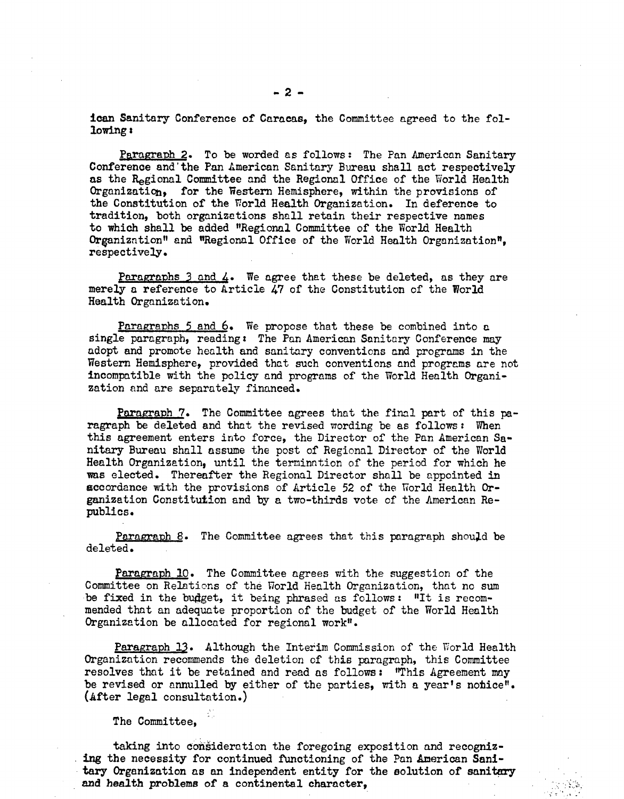ican Sanitary Conference of Caracas, the Committee agreed to the following:

Paragraph 2. To be worded as follows: The Pan American Sanitary Conference and'the Pan American Sanitary Bureau shall act respectively as the Regional Committee and the Regional Office of the World Health Organization, for the Western Hemisphere, within the provisions of the Constitution of the World Health Organization. In deference to tradition, both organizations shall retain their respective names to which shall be added "Regional Committee of the World Health Organizntion" and "Regional Office of the World Health Organization", respectively.

Paragraphs  $3$  and  $4$ . We agree that these be deleted, as they are merely a reference to Article 47 of the Constitution of the World Health Organization.

Paragraphs 5 and 6. We propose that these be combined into a single paragraph, reading: The Pan American Sanitary Conference may adopt and promote health and sanitary conventions and programs in the Western Hemisphere, provided that such conventions and programs are not incompatible with the policy and programs of the World Health Organization and are separately financed.

Paragraph 7. The Committee agrees that the final part of this paragraph be deleted and that the revised wording be as follows: When this agreement enters into force, the Director of the Pan American Sanitary Bureau shall assume the post of Regional Director of the World Health Organization, until the termination of the period for which he was elected. Thereafter the Regional Director shall be appointed in accordance with the provisions of Article 52 of the World Health Organization Constitution and by a two-thirds vote of the American Republics.

Paragraph 8. The Committee agrees that this paragraph should be deleted.

Paragraph 10. The Committee agrees with the suggestion of the Committee on Relations of the World Health Organization, that no sum be fixed in the budget, it being phrased as follows: "It is recommended that an adequate proportion of the budget of the World Health Organization be allocated for regional work".

Paragraph 13. Although the Interim Commission of the World Health Organization recommends the deletion of this paragraph, this Committee resolves that it be retained and read as follows: "This Agreement may be revised or annulled by either of the parties, with a year's notice". (After legal consultation.)

The Committee,

taking into consideration the foregoing exposition and recognizing the necessity for continued functioning of the Pan American Sanitary Organization as an independent entity for the solution of sanitary and health problems of a continental character,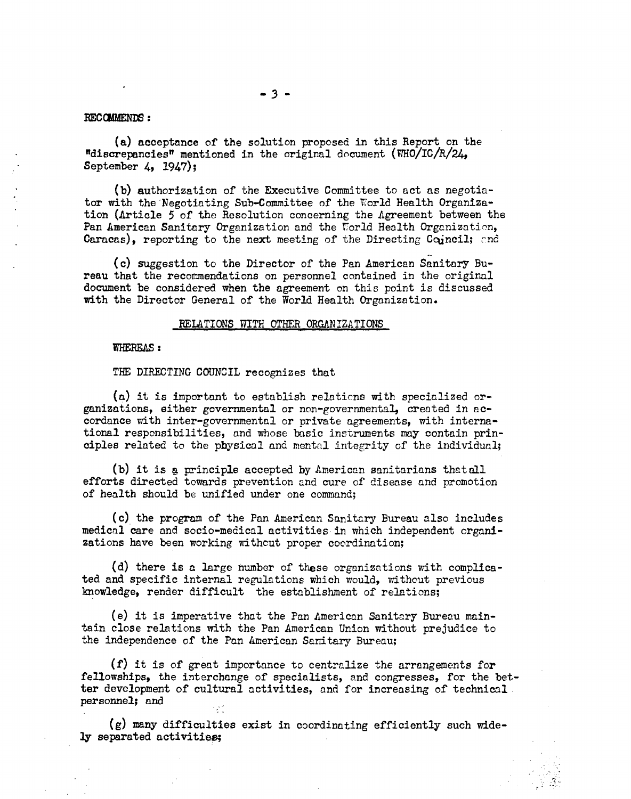## RECOMMENDS :

(a) acceptance of the solution proposed in this Report on the "discrepancies" mentioned in the original document  $(\text{WHO}/\text{IC}/\text{R}/24)$ September 4, 1947);

(b) authorization of the Executive Committee to act as negotiator with the Negotiating Sub-Committee of the World Health Organization (Article 5 of the Resolution concerning the Agreement between the Pan American Sanitary Organization and the World Health Organization, Caracas), reporting to the next meeting of the Directing Coincil; and

(c) suggestion to the Director of the Pan American Sanitary Bureau that the recommendations on personnel contained in the original document be considered when the agreement on this point is discussed with the Director General of the World Health Organization.

#### RELATIONS WITH OTHER ORGANIZATIONS

#### WHEREAS:

THE DIRECTING COUNCIL recognizes that

(a) it is important to establish relaticns with specialized organizations, either governmental or non-governmental, created in accordance with inter-governmental or private agreements, with international responsibilities, and whose basic instruments may contain principles related to the pbhysical and mental integrity of the individual;

(b) it is g principle accepted by American sanitarians thatall efforts directed towards prevention and cure of disease and promotion of health should be unified under one command;

(c) the program of the Pan American Sanitary Bureau also includes medical care and socio-medical activities in which independent organizations have been working without proper coordination;

(d) there is a large number of these organizations with complicated and specific internal regulations which would, without previous knowledge, render difficult the establishment of relations;

(e) it is imperative that the Pan American Sanitary Bureau maintain close relations with the Pan American Union without prejudice to the independence of the Pan American Sanitary Bureau;

(f) it is of great importance to centralize the arrangements for fellowships, the interchange of specialists, and congresses, for the better development of cultural activities, and for increasing of technical personnel; and

 $(g)$  many difficulties exist in coordinating efficiently such widely separated activities;